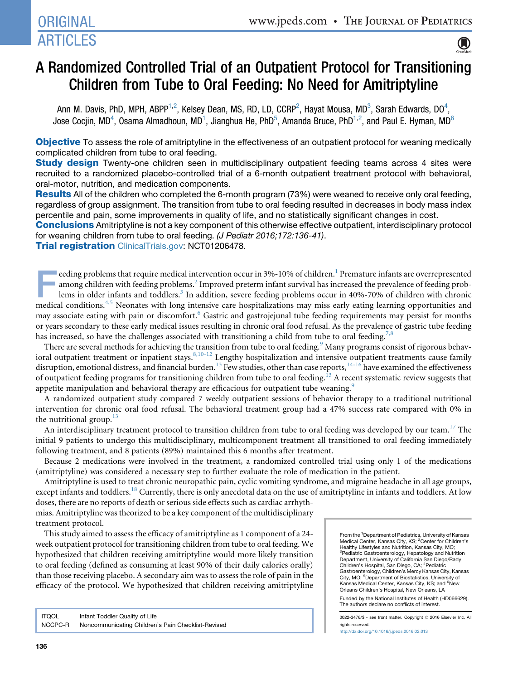# **ORIGINAL ARTICLES**



# A Randomized Controlled Trial of an Outpatient Protocol for Transitioning Children from Tube to Oral Feeding: No Need for Amitriptyline

Ann M. Davis, PhD, MPH, ABPP<sup>1,2</sup>, Kelsey Dean, MS, RD, LD, CCRP<sup>2</sup>, Hayat Mousa, MD<sup>3</sup>, Sarah Edwards, DO<sup>4</sup>, Jose Cocjin, MD<sup>4</sup>, Osama Almadhoun, MD<sup>1</sup>, Jianghua He, PhD<sup>5</sup>, Amanda Bruce, PhD<sup>1,2</sup>, and Paul E. Hyman, MD<sup>6</sup>

**Objective** To assess the role of amitriptyline in the effectiveness of an outpatient protocol for weaning medically complicated children from tube to oral feeding.

**Study design** Twenty-one children seen in multidisciplinary outpatient feeding teams across 4 sites were recruited to a randomized placebo-controlled trial of a 6-month outpatient treatment protocol with behavioral, oral-motor, nutrition, and medication components.

Results All of the children who completed the 6-month program (73%) were weaned to receive only oral feeding, regardless of group assignment. The transition from tube to oral feeding resulted in decreases in body mass index percentile and pain, some improvements in quality of life, and no statistically significant changes in cost.

**Conclusions** Amitriptyline is not a key component of this otherwise effective outpatient, interdisciplinary protocol for weaning children from tube to oral feeding. *(J Pediatr 2016;172:136-41)*.

**Trial registration** [ClinicalTrials.gov:](http://ClinicalTrials.gov) NCT01206478.

eeding problems that require medical intervention occur in 3%-[1](#page-4-0)0% of children.<sup>1</sup> Premature infants are overrepresented<br>among children with feeding problems.<sup>2</sup> Improved preterm infant survival has increased the prevalence among children with feeding problems.<sup>[2](#page-4-0)</sup> Improved preterm infant survival has increased the prevalence of feeding probmedical conditions.[4,5](#page-4-0) Neonates with long intensive care hospitalizations may miss early eating learning opportunities and may associate eating with pain or discomfort.<sup>[6](#page-4-0)</sup> Gastric and gastrojejunal tube feeding requirements may persist for months or years secondary to these early medical issues resulting in chronic oral food refusal. As the prevalence of gastric tube feeding has increased, so have the challenges associated with transitioning a child from tube to oral feeding.<sup>7,8</sup>

There are several methods for achieving the transition from tube to oral feeding.<sup>[9](#page-4-0)</sup> Many programs consist of rigorous behav-ioral outpatient treatment or inpatient stays.<sup>[8,10-12](#page-4-0)</sup> Lengthy hospitalization and intensive outpatient treatments cause family disruption, emotional distress, and financial burden.<sup>[13](#page-4-0)</sup> Few studies, other than case reports,  $14-16$  have examined the effectiveness of outpatient feeding programs for transitioning children from tube to oral feeding.<sup>[13](#page-4-0)</sup> A recent systematic review suggests that appetite manipulation and behavioral therapy are efficacious for outpatient tube weaning.<sup>[9](#page-4-0)</sup>

A randomized outpatient study compared 7 weekly outpatient sessions of behavior therapy to a traditional nutritional intervention for chronic oral food refusal. The behavioral treatment group had a 47% success rate compared with 0% in the nutritional group. $13$ 

An interdisciplinary treatment protocol to transition children from tube to oral feeding was developed by our team.<sup>[17](#page-5-0)</sup> The initial 9 patients to undergo this multidisciplinary, multicomponent treatment all transitioned to oral feeding immediately following treatment, and 8 patients (89%) maintained this 6 months after treatment.

Because 2 medications were involved in the treatment, a randomized controlled trial using only 1 of the medications (amitriptyline) was considered a necessary step to further evaluate the role of medication in the patient.

Amitriptyline is used to treat chronic neuropathic pain, cyclic vomiting syndrome, and migraine headache in all age groups, except infants and toddlers.<sup>[18](#page-5-0)</sup> Currently, there is only anecdotal data on the use of amitriptyline in infants and toddlers. At low doses, there are no reports of death or serious side effects such as cardiac arrhyth-

mias. Amitriptyline was theorized to be a key component of the multidisciplinary treatment protocol.

This study aimed to assess the efficacy of amitriptyline as 1 component of a 24 week outpatient protocol for transitioning children from tube to oral feeding. We hypothesized that children receiving amitriptyline would more likely transition to oral feeding (defined as consuming at least 90% of their daily calories orally) than those receiving placebo. A secondary aim was to assess the role of pain in the efficacy of the protocol. We hypothesized that children receiving amitriptyline

ITQOL Infant Toddler Quality of Life NCCPC-R Noncommunicating Children's Pain Checklist-Revised

From the <sup>1</sup>Department of Pediatrics, University of Kansas<br>Medical Center, Kansas City, KS; <sup>2</sup>Center for Children's<br>Healthy Lifestyles and Nutrition, Kansas City, MO; <sup>3</sup>Pediatric Gastroenterology, Hepatology and Nutrition Department, University of California San Diego/Rady<br>Children's Hospital, San Diego, CA; <sup>4</sup>Pediatric Gastroenterology, Children's Mercy Kansas City, Kansas City, MO; <sup>5</sup>Department of Biostatistics, University of Kansas Medical Center, Kansas City, KS; and <sup>6</sup>New Orleans Children's Hospital, New Orleans, LA

Funded by the National Institutes of Health (HD066629). The authors declare no conflicts of interest.

0022-3476/\$ - see front matter. Copyright @ 2016 Elsevier Inc. All rights reserved.

<http://dx.doi.org/10.1016/j.jpeds.2016.02.013>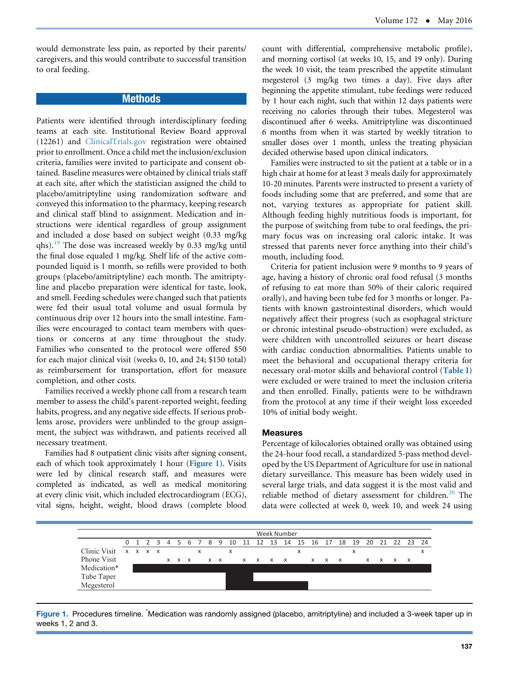would demonstrate less pain, as reported by their parents/ caregivers, and this would contribute to successful transition to oral feeding.

# **Methods**

Patients were identified through interdisciplinary feeding teams at each site. Institutional Review Board approval (12261) and [ClinicalTrials.gov](http://ClinicalTrials.gov) registration were obtained prior to enrollment. Once a child met the inclusion/exclusion criteria, families were invited to participate and consent obtained. Baseline measures were obtained by clinical trials staff at each site, after which the statistician assigned the child to placebo/amitriptyline using randomization software and conveyed this information to the pharmacy, keeping research and clinical staff blind to assignment. Medication and instructions were identical regardless of group assignment and included a dose based on subject weight (0.33 mg/kg qhs).[19](#page-5-0) The dose was increased weekly by 0.33 mg/kg until the final dose equaled 1 mg/kg. Shelf life of the active compounded liquid is 1 month, so refills were provided to both groups (placebo/amitriptyline) each month. The amitriptyline and placebo preparation were identical for taste, look, and smell. Feeding schedules were changed such that patients were fed their usual total volume and usual formula by continuous drip over 12 hours into the small intestine. Families were encouraged to contact team members with questions or concerns at any time throughout the study. Families who consented to the protocol were offered \$50 for each major clinical visit (weeks 0, 10, and 24; \$150 total) as reimbursement for transportation, effort for measure completion, and other costs.

Families received a weekly phone call from a research team member to assess the child's parent-reported weight, feeding habits, progress, and any negative side effects. If serious problems arose, providers were unblinded to the group assignment, the subject was withdrawn, and patients received all necessary treatment.

Families had 8 outpatient clinic visits after signing consent, each of which took approximately 1 hour (Figure 1). Visits were led by clinical research staff, and measures were completed as indicated, as well as medical monitoring at every clinic visit, which included electrocardiogram (ECG), vital signs, height, weight, blood draws (complete blood

count with differential, comprehensive metabolic profile), and morning cortisol (at weeks 10, 15, and 19 only). During the week 10 visit, the team prescribed the appetite stimulant megesterol (3 mg/kg two times a day). Five days after beginning the appetite stimulant, tube feedings were reduced by 1 hour each night, such that within 12 days patients were receiving no calories through their tubes. Megesterol was discontinued after 6 weeks. Amitriptyline was discontinued 6 months from when it was started by weekly titration to smaller doses over 1 month, unless the treating physician decided otherwise based upon clinical indicators.

Families were instructed to sit the patient at a table or in a high chair at home for at least 3 meals daily for approximately 10-20 minutes. Parents were instructed to present a variety of foods including some that are preferred, and some that are not, varying textures as appropriate for patient skill. Although feeding highly nutritious foods is important, for the purpose of switching from tube to oral feedings, the primary focus was on increasing oral caloric intake. It was stressed that parents never force anything into their child's mouth, including food.

Criteria for patient inclusion were 9 months to 9 years of age, having a history of chronic oral food refusal (3 months of refusing to eat more than 50% of their caloric required orally), and having been tube fed for 3 months or longer. Patients with known gastrointestinal disorders, which would negatively affect their progress (such as esophageal stricture or chronic intestinal pseudo-obstruction) were excluded, as were children with uncontrolled seizures or heart disease with cardiac conduction abnormalities. Patients unable to meet the behavioral and occupational therapy criteria for necessary oral-motor skills and behavioral control ([Table I](#page-2-0)) were excluded or were trained to meet the inclusion criteria and then enrolled. Finally, patients were to be withdrawn from the protocol at any time if their weight loss exceeded 10% of initial body weight.

### **Measures**

Percentage of kilocalories obtained orally was obtained using the 24-hour food recall, a standardized 5-pass method developed by the US Department of Agriculture for use in national dietary surveillance. This measure has been widely used in several large trials, and data suggest it is the most valid and reliable method of dietary assessment for children.<sup>[20](#page-5-0)</sup> The data were collected at week 0, week 10, and week 24 using



Figure 1. Procedures timeline. Medication was randomly assigned (placebo, amitriptyline) and included a 3-week taper up in<br>weeks 1-2 and 3 weeks 1, 2 and 3.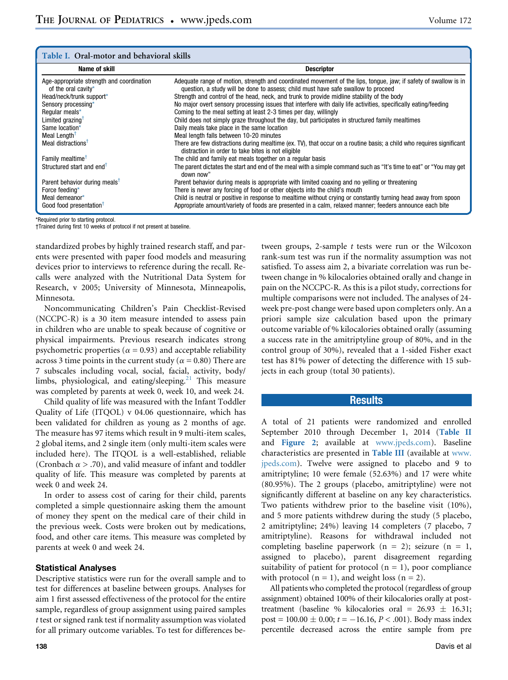<span id="page-2-0"></span>

| Table I. Oral-motor and behavioral skills                        |                                                                                                                                                                                                       |  |  |
|------------------------------------------------------------------|-------------------------------------------------------------------------------------------------------------------------------------------------------------------------------------------------------|--|--|
| Name of skill                                                    | <b>Descriptor</b>                                                                                                                                                                                     |  |  |
| Age-appropriate strength and coordination<br>of the oral cavity* | Adequate range of motion, strength and coordinated movement of the lips, tongue, jaw; if safety of swallow is in<br>question, a study will be done to assess; child must have safe swallow to proceed |  |  |
| Head/neck/trunk support*                                         | Strength and control of the head, neck, and trunk to provide midline stability of the body                                                                                                            |  |  |
| Sensory processing*                                              | No major overt sensory processing issues that interfere with daily life activities, specifically eating/feeding                                                                                       |  |  |
| Regular meals*                                                   | Coming to the meal setting at least 2-3 times per day, willingly                                                                                                                                      |  |  |
| Limited grazing <sup>1</sup>                                     | Child does not simply graze throughout the day, but participates in structured family mealtimes                                                                                                       |  |  |
| Same location*                                                   | Daily meals take place in the same location                                                                                                                                                           |  |  |
| Meal Length <sup>T</sup>                                         | Meal length falls between 10-20 minutes                                                                                                                                                               |  |  |
| Meal distractions <sup>T</sup>                                   | There are few distractions during mealtime (ex. TV), that occur on a routine basis; a child who requires significant<br>distraction in order to take bites is not eligible                            |  |  |
| Family mealtime <sup>T</sup>                                     | The child and family eat meals together on a regular basis                                                                                                                                            |  |  |
| Structured start and end <sup>†</sup>                            | The parent dictates the start and end of the meal with a simple command such as "It's time to eat" or "You may get<br>down now"                                                                       |  |  |
| Parent behavior during meals <sup>t</sup>                        | Parent behavior during meals is appropriate with limited coaxing and no velling or threatening                                                                                                        |  |  |
| Force feeding*                                                   | There is never any forcing of food or other objects into the child's mouth                                                                                                                            |  |  |
| Meal demeanor*                                                   | Child is neutral or positive in response to mealtime without crying or constantly turning head away from spoon                                                                                        |  |  |
| Good food presentation <sup>1</sup>                              | Appropriate amount/variety of foods are presented in a calm, relaxed manner; feeders announce each bite                                                                                               |  |  |

\*Required prior to starting protocol.

†Trained during first 10 weeks of protocol if not present at baseline.

standardized probes by highly trained research staff, and parents were presented with paper food models and measuring devices prior to interviews to reference during the recall. Recalls were analyzed with the Nutritional Data System for Research, v 2005; University of Minnesota, Minneapolis, Minnesota.

Noncommunicating Children's Pain Checklist-Revised (NCCPC-R) is a 30 item measure intended to assess pain in children who are unable to speak because of cognitive or physical impairments. Previous research indicates strong psychometric properties ( $\alpha$  = 0.93) and acceptable reliability across 3 time points in the current study ( $\alpha$  = 0.80) There are 7 subscales including vocal, social, facial, activity, body/ limbs, physiological, and eating/sleeping.<sup>[21](#page-5-0)</sup> This measure was completed by parents at week 0, week 10, and week 24.

Child quality of life was measured with the Infant Toddler Quality of Life (ITQOL) v 04.06 questionnaire, which has been validated for children as young as 2 months of age. The measure has 97 items which result in 9 multi-item scales, 2 global items, and 2 single item (only multi-item scales were included here). The ITQOL is a well-established, reliable (Cronbach  $\alpha$  > .70), and valid measure of infant and toddler quality of life. This measure was completed by parents at week 0 and week 24.

In order to assess cost of caring for their child, parents completed a simple questionnaire asking them the amount of money they spent on the medical care of their child in the previous week. Costs were broken out by medications, food, and other care items. This measure was completed by parents at week 0 and week 24.

**Descriptive statistics were run for the overall sample and to** test for differences at baseline between groups. Analyses for aim 1 first assessed effectiveness of the protocol for the entire sample, regardless of group assignment using paired samples t test or signed rank test if normality assumption was violated for all primary outcome variables. To test for differences between groups, 2-sample t tests were run or the Wilcoxon rank-sum test was run if the normality assumption was not satisfied. To assess aim 2, a bivariate correlation was run between change in % kilocalories obtained orally and change in pain on the NCCPC-R. As this is a pilot study, corrections for multiple comparisons were not included. The analyses of 24 week pre-post change were based upon completers only. An a priori sample size calculation based upon the primary outcome variable of % kilocalories obtained orally (assuming a success rate in the amitriptyline group of 80%, and in the control group of 30%), revealed that a 1-sided Fisher exact test has 81% power of detecting the difference with 15 subjects in each group (total 30 patients).

## **Results**

A total of 21 patients were randomized and enrolled September 2010 through December 1, 2014 ([Table II](#page-6-0) and [Figure 2](#page-6-0); available at [www.jpeds.com](http://www.jpeds.com)). Baseline characteristics are presented in [Table III](#page-6-0) (available at [www.](http://www.jpeds.com) [jpeds.com\)](http://www.jpeds.com). Twelve were assigned to placebo and 9 to amitriptyline; 10 were female (52.63%) and 17 were white (80.95%). The 2 groups (placebo, amitriptyline) were not significantly different at baseline on any key characteristics. Two patients withdrew prior to the baseline visit (10%), and 5 more patients withdrew during the study (5 placebo, 2 amitriptyline; 24%) leaving 14 completers (7 placebo, 7 amitriptyline). Reasons for withdrawal included not completing baseline paperwork  $(n = 2)$ ; seizure  $(n = 1)$ , assigned to placebo), parent disagreement regarding suitability of patient for protocol  $(n = 1)$ , poor compliance with protocol  $(n = 1)$ , and weight loss  $(n = 2)$ .

All patients who completed the protocol (regardless of group assignment) obtained 100% of their kilocalories orally at posttreatment (baseline % kilocalories oral =  $26.93 \pm 16.31$ ; post =  $100.00 \pm 0.00$ ;  $t = -16.16$ ,  $P < .001$ ). Body mass index percentile decreased across the entire sample from pre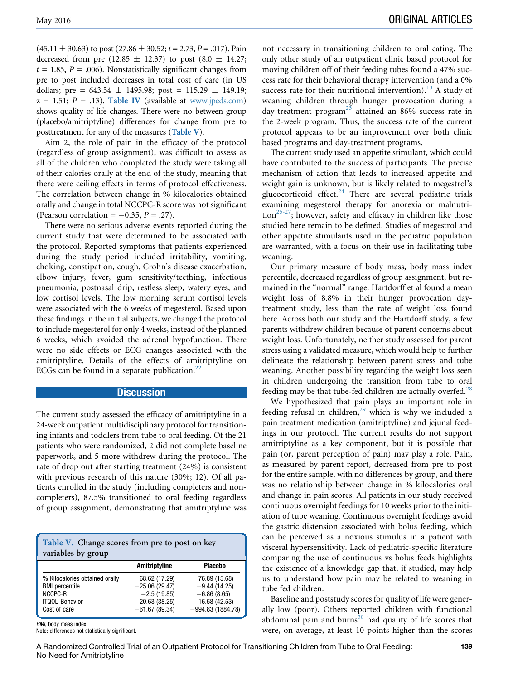$(45.11 \pm 30.63)$  to post  $(27.86 \pm 30.52; t = 2.73, P = .017)$ . Pain decreased from pre (12.85  $\pm$  12.37) to post (8.0  $\pm$  14.27;  $t = 1.85$ ,  $P = .006$ ). Nonstatistically significant changes from pre to post included decreases in total cost of care (in US dollars; pre =  $643.54 \pm 1495.98$ ; post =  $115.29 \pm 149.19$ ;  $z = 1.51$ ;  $P = .13$ ). [Table IV](#page-7-0) (available at [www.jpeds.com](http://www.jpeds.com)) shows quality of life changes. There were no between group (placebo/amitriptyline) differences for change from pre to posttreatment for any of the measures (Table V).

Aim 2, the role of pain in the efficacy of the protocol (regardless of group assignment), was difficult to assess as all of the children who completed the study were taking all of their calories orally at the end of the study, meaning that there were ceiling effects in terms of protocol effectiveness. The correlation between change in % kilocalories obtained orally and change in total NCCPC-R score was not significant (Pearson correlation =  $-0.35$ ,  $P = .27$ ).

There were no serious adverse events reported during the current study that were determined to be associated with the protocol. Reported symptoms that patients experienced during the study period included irritability, vomiting, choking, constipation, cough, Crohn's disease exacerbation, elbow injury, fever, gum sensitivity/teething, infectious pneumonia, postnasal drip, restless sleep, watery eyes, and low cortisol levels. The low morning serum cortisol levels were associated with the 6 weeks of megesterol. Based upon these findings in the initial subjects, we changed the protocol to include megesterol for only 4 weeks, instead of the planned 6 weeks, which avoided the adrenal hypofunction. There were no side effects or ECG changes associated with the amitriptyline. Details of the effects of amitriptyline on ECGs can be found in a separate publication. $^{22}$  $^{22}$  $^{22}$ 

# **Discussion**

The current study assessed the efficacy of amitriptyline in a 24-week outpatient multidisciplinary protocol for transitioning infants and toddlers from tube to oral feeding. Of the 21 patients who were randomized, 2 did not complete baseline paperwork, and 5 more withdrew during the protocol. The rate of drop out after starting treatment (24%) is consistent with previous research of this nature (30%; 12). Of all patients enrolled in the study (including completers and noncompleters), 87.5% transitioned to oral feeding regardless of group assignment, demonstrating that amitriptyline was

| Table V. Change scores from pre to post on key<br>variables by group |                      |                    |  |
|----------------------------------------------------------------------|----------------------|--------------------|--|
|                                                                      | <b>Amitriptyline</b> | <b>Placebo</b>     |  |
| % Kilocalories obtained orally                                       | 68.62 (17.29)        | 76.89 (15.68)      |  |
| <b>BMI</b> percentile                                                | $-25.06(29.47)$      | $-9.44(14.25)$     |  |
| NCCPC-R                                                              | $-2.5(19.85)$        | $-6.86(8.65)$      |  |
| <b>ITQOL-Behavior</b>                                                | $-20.63(38.25)$      | $-16.58(42.53)$    |  |
| Cost of care                                                         | $-61.67(89.34)$      | $-994.83(1884.78)$ |  |

**BMI**, body mass index.

Note: differences not statistically significant.

only other study of an outpatient clinic based protocol for moving children off of their feeding tubes found a 47% success rate for their behavioral therapy intervention (and a 0% success rate for their nutritional intervention).<sup>[13](#page-4-0)</sup> A study of weaning children through hunger provocation during a day-treatment program<sup>[23](#page-5-0)</sup> attained an 86% success rate in the 2-week program. Thus, the success rate of the current protocol appears to be an improvement over both clinic based programs and day-treatment programs. The current study used an appetite stimulant, which could have contributed to the success of participants. The precise

not necessary in transitioning children to oral eating. The

mechanism of action that leads to increased appetite and weight gain is unknown, but is likely related to megestrol's glucocorticoid effect. $24$  There are several pediatric trials examining megesterol therapy for anorexia or malnutri-tion<sup>[25-27](#page-5-0)</sup>; however, safety and efficacy in children like those studied here remain to be defined. Studies of megestrol and other appetite stimulants used in the pediatric population are warranted, with a focus on their use in facilitating tube weaning.

Our primary measure of body mass, body mass index percentile, decreased regardless of group assignment, but remained in the "normal" range. Hartdorff et al found a mean weight loss of 8.8% in their hunger provocation daytreatment study, less than the rate of weight loss found here. Across both our study and the Hartdorff study, a few parents withdrew children because of parent concerns about weight loss. Unfortunately, neither study assessed for parent stress using a validated measure, which would help to further delineate the relationship between parent stress and tube weaning. Another possibility regarding the weight loss seen in children undergoing the transition from tube to oral feeding may be that tube-fed children are actually overfed.<sup>[28](#page-5-0)</sup>

We hypothesized that pain plays an important role in feeding refusal in children, $29$  which is why we included a pain treatment medication (amitriptyline) and jejunal feedings in our protocol. The current results do not support amitriptyline as a key component, but it is possible that pain (or, parent perception of pain) may play a role. Pain, as measured by parent report, decreased from pre to post for the entire sample, with no differences by group, and there was no relationship between change in % kilocalories oral and change in pain scores. All patients in our study received continuous overnight feedings for 10 weeks prior to the initiation of tube weaning. Continuous overnight feedings avoid the gastric distension associated with bolus feeding, which can be perceived as a noxious stimulus in a patient with visceral hypersensitivity. Lack of pediatric-specific literature comparing the use of continuous vs bolus feeds highlights the existence of a knowledge gap that, if studied, may help us to understand how pain may be related to weaning in tube fed children.

Baseline and poststudy scores for quality of life were generally low (poor). Others reported children with functional abdominal pain and burns $30$  had quality of life scores that were, on average, at least 10 points higher than the scores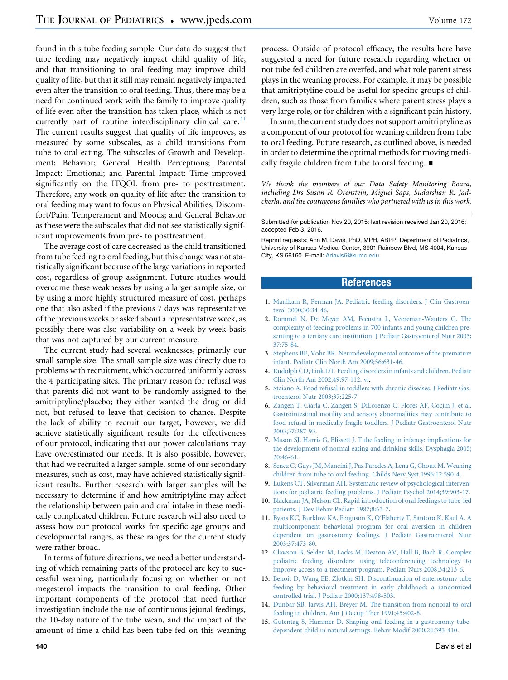<span id="page-4-0"></span>found in this tube feeding sample. Our data do suggest that tube feeding may negatively impact child quality of life, and that transitioning to oral feeding may improve child quality of life, but that it still may remain negatively impacted even after the transition to oral feeding. Thus, there may be a need for continued work with the family to improve quality of life even after the transition has taken place, which is not currently part of routine interdisciplinary clinical care.<sup>[31](#page-5-0)</sup> The current results suggest that quality of life improves, as measured by some subscales, as a child transitions from tube to oral eating. The subscales of Growth and Development; Behavior; General Health Perceptions; Parental Impact: Emotional; and Parental Impact: Time improved significantly on the ITQOL from pre- to posttreatment. Therefore, any work on quality of life after the transition to oral feeding may want to focus on Physical Abilities; Discomfort/Pain; Temperament and Moods; and General Behavior as these were the subscales that did not see statistically significant improvements from pre- to posttreatment.

The average cost of care decreased as the child transitioned from tube feeding to oral feeding, but this change was not statistically significant because of the large variations in reported cost, regardless of group assignment. Future studies would overcome these weaknesses by using a larger sample size, or by using a more highly structured measure of cost, perhaps one that also asked if the previous 7 days was representative of the previous weeks or asked about a representative week, as possibly there was also variability on a week by week basis that was not captured by our current measure.

The current study had several weaknesses, primarily our small sample size. The small sample size was directly due to problems with recruitment, which occurred uniformly across the 4 participating sites. The primary reason for refusal was that parents did not want to be randomly assigned to the amitriptyline/placebo; they either wanted the drug or did not, but refused to leave that decision to chance. Despite the lack of ability to recruit our target, however, we did achieve statistically significant results for the effectiveness of our protocol, indicating that our power calculations may have overestimated our needs. It is also possible, however, that had we recruited a larger sample, some of our secondary measures, such as cost, may have achieved statistically significant results. Further research with larger samples will be necessary to determine if and how amitriptyline may affect the relationship between pain and oral intake in these medically complicated children. Future research will also need to assess how our protocol works for specific age groups and developmental ranges, as these ranges for the current study were rather broad.

In terms of future directions, we need a better understanding of which remaining parts of the protocol are key to successful weaning, particularly focusing on whether or not megesterol impacts the transition to oral feeding. Other important components of the protocol that need further investigation include the use of continuous jejunal feedings, the 10-day nature of the tube wean, and the impact of the amount of time a child has been tube fed on this weaning process. Outside of protocol efficacy, the results here have suggested a need for future research regarding whether or not tube fed children are overfed, and what role parent stress plays in the weaning process. For example, it may be possible that amitriptyline could be useful for specific groups of children, such as those from families where parent stress plays a very large role, or for children with a significant pain history.

In sum, the current study does not support amitriptyline as a component of our protocol for weaning children from tube to oral feeding. Future research, as outlined above, is needed in order to determine the optimal methods for moving medically fragile children from tube to oral feeding.  $\blacksquare$ 

We thank the members of our Data Safety Monitoring Board, including Drs Susan R. Orenstein, Miguel Saps, Sudarshan R. Jadcherla, and the courageous families who partnered with us in this work.

Submitted for publication Nov 20, 2015; last revision received Jan 20, 2016; accepted Feb 3, 2016.

Reprint requests: Ann M. Davis, PhD, MPH, ABPP, Department of Pediatrics, University of Kansas Medical Center, 3901 Rainbow Blvd, MS 4004, Kansas City, KS 66160. E-mail: [Adavis6@kumc.edu](mailto:Adavis6@kumc.edu)

### References

- 1. [Manikam R, Perman JA. Pediatric feeding disorders. J Clin Gastroen](http://refhub.elsevier.com/S0022-3476(16)00161-X/sref1)[terol 2000;30:34-46](http://refhub.elsevier.com/S0022-3476(16)00161-X/sref1).
- 2. [Rommel N, De Meyer AM, Feenstra L, Veereman-Wauters G. The](http://refhub.elsevier.com/S0022-3476(16)00161-X/sref2) [complexity of feeding problems in 700 infants and young children pre](http://refhub.elsevier.com/S0022-3476(16)00161-X/sref2)[senting to a tertiary care institution. J Pediatr Gastroenterol Nutr 2003;](http://refhub.elsevier.com/S0022-3476(16)00161-X/sref2) [37:75-84](http://refhub.elsevier.com/S0022-3476(16)00161-X/sref2).
- 3. [Stephens BE, Vohr BR. Neurodevelopmental outcome of the premature](http://refhub.elsevier.com/S0022-3476(16)00161-X/sref3) [infant. Pediatr Clin North Am 2009;56:631-46](http://refhub.elsevier.com/S0022-3476(16)00161-X/sref3).
- 4. [Rudolph CD, Link DT. Feeding disorders in infants and children. Pediatr](http://refhub.elsevier.com/S0022-3476(16)00161-X/sref4) [Clin North Am 2002;49:97-112. vi.](http://refhub.elsevier.com/S0022-3476(16)00161-X/sref4)
- 5. [Staiano A. Food refusal in toddlers with chronic diseases. J Pediatr Gas](http://refhub.elsevier.com/S0022-3476(16)00161-X/sref5)[troenterol Nutr 2003;37:225-7](http://refhub.elsevier.com/S0022-3476(16)00161-X/sref5).
- 6. [Zangen T, Ciarla C, Zangen S, DiLorenzo C, Flores AF, Cocjin J, et al.](http://refhub.elsevier.com/S0022-3476(16)00161-X/sref6) [Gastrointestinal motility and sensory abnormalities may contribute to](http://refhub.elsevier.com/S0022-3476(16)00161-X/sref6) [food refusal in medically fragile toddlers. J Pediatr Gastroenterol Nutr](http://refhub.elsevier.com/S0022-3476(16)00161-X/sref6) [2003;37:287-93](http://refhub.elsevier.com/S0022-3476(16)00161-X/sref6).
- 7. [Mason SJ, Harris G, Blissett J. Tube feeding in infancy: implications for](http://refhub.elsevier.com/S0022-3476(16)00161-X/sref7) [the development of normal eating and drinking skills. Dysphagia 2005;](http://refhub.elsevier.com/S0022-3476(16)00161-X/sref7) [20:46-61](http://refhub.elsevier.com/S0022-3476(16)00161-X/sref7).
- 8. [Senez C, Guys JM, Mancini J, Paz Paredes A, Lena G, Choux M. Weaning](http://refhub.elsevier.com/S0022-3476(16)00161-X/sref8) [children from tube to oral feeding. Childs Nerv Syst 1996;12:590-4](http://refhub.elsevier.com/S0022-3476(16)00161-X/sref8).
- 9. [Lukens CT, Silverman AH. Systematic review of psychological interven](http://refhub.elsevier.com/S0022-3476(16)00161-X/sref9)[tions for pediatric feeding problems. J Pediatr Psychol 2014;39:903-17.](http://refhub.elsevier.com/S0022-3476(16)00161-X/sref9)
- 10. [Blackman JA, Nelson CL. Rapid introduction of oral feedings to tube-fed](http://refhub.elsevier.com/S0022-3476(16)00161-X/sref10) [patients. J Dev Behav Pediatr 1987;8:63-7.](http://refhub.elsevier.com/S0022-3476(16)00161-X/sref10)
- 11. [Byars KC, Burklow KA, Ferguson K, O'Flaherty T, Santoro K, Kaul A. A](http://refhub.elsevier.com/S0022-3476(16)00161-X/sref11) [multicomponent behavioral program for oral aversion in children](http://refhub.elsevier.com/S0022-3476(16)00161-X/sref11) [dependent on gastrostomy feedings. J Pediatr Gastroenterol Nutr](http://refhub.elsevier.com/S0022-3476(16)00161-X/sref11) [2003;37:473-80](http://refhub.elsevier.com/S0022-3476(16)00161-X/sref11).
- 12. [Clawson B, Selden M, Lacks M, Deaton AV, Hall B, Bach R. Complex](http://refhub.elsevier.com/S0022-3476(16)00161-X/sref12) [pediatric feeding disorders: using teleconferencing technology to](http://refhub.elsevier.com/S0022-3476(16)00161-X/sref12) [improve access to a treatment program. Pediatr Nurs 2008;34:213-6](http://refhub.elsevier.com/S0022-3476(16)00161-X/sref12).
- 13. [Benoit D, Wang EE, Zlotkin SH. Discontinuation of enterostomy tube](http://refhub.elsevier.com/S0022-3476(16)00161-X/sref13) [feeding by behavioral treatment in early childhood: a randomized](http://refhub.elsevier.com/S0022-3476(16)00161-X/sref13) [controlled trial. J Pediatr 2000;137:498-503](http://refhub.elsevier.com/S0022-3476(16)00161-X/sref13).
- 14. [Dunbar SB, Jarvis AH, Breyer M. The transition from nonoral to oral](http://refhub.elsevier.com/S0022-3476(16)00161-X/sref14) [feeding in children. Am J Occup Ther 1991;45:402-8.](http://refhub.elsevier.com/S0022-3476(16)00161-X/sref14)
- 15. [Gutentag S, Hammer D. Shaping oral feeding in a gastronomy tube](http://refhub.elsevier.com/S0022-3476(16)00161-X/sref15)[dependent child in natural settings. Behav Modif 2000;24:395-410.](http://refhub.elsevier.com/S0022-3476(16)00161-X/sref15)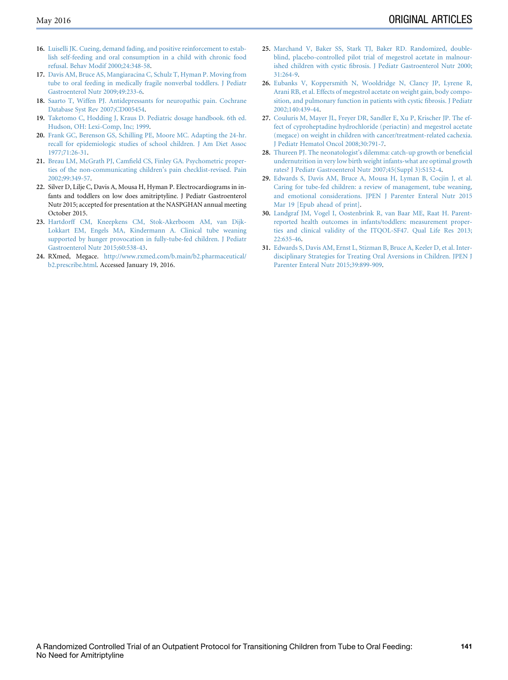- <span id="page-5-0"></span>16. [Luiselli JK. Cueing, demand fading, and positive reinforcement to estab](http://refhub.elsevier.com/S0022-3476(16)00161-X/sref16)[lish self-feeding and oral consumption in a child with chronic food](http://refhub.elsevier.com/S0022-3476(16)00161-X/sref16) [refusal. Behav Modif 2000;24:348-58.](http://refhub.elsevier.com/S0022-3476(16)00161-X/sref16)
- 17. [Davis AM, Bruce AS, Mangiaracina C, Schulz T, Hyman P. Moving from](http://refhub.elsevier.com/S0022-3476(16)00161-X/sref17) [tube to oral feeding in medically fragile nonverbal toddlers. J Pediatr](http://refhub.elsevier.com/S0022-3476(16)00161-X/sref17) [Gastroenterol Nutr 2009;49:233-6.](http://refhub.elsevier.com/S0022-3476(16)00161-X/sref17)
- 18. [Saarto T, Wiffen PJ. Antidepressants for neuropathic pain. Cochrane](http://refhub.elsevier.com/S0022-3476(16)00161-X/sref18) [Database Syst Rev 2007;CD005454.](http://refhub.elsevier.com/S0022-3476(16)00161-X/sref18)
- 19. [Taketomo C, Hodding J, Kraus D. Pediatric dosage handbook. 6th ed.](http://refhub.elsevier.com/S0022-3476(16)00161-X/sref19) [Hudson, OH: Lexi-Comp, Inc; 1999.](http://refhub.elsevier.com/S0022-3476(16)00161-X/sref19)
- 20. [Frank GC, Berenson GS, Schilling PE, Moore MC. Adapting the 24-hr.](http://refhub.elsevier.com/S0022-3476(16)00161-X/sref20) [recall for epidemiologic studies of school children. J Am Diet Assoc](http://refhub.elsevier.com/S0022-3476(16)00161-X/sref20) [1977;71:26-31](http://refhub.elsevier.com/S0022-3476(16)00161-X/sref20).
- 21. [Breau LM, McGrath PJ, Camfield CS, Finley GA. Psychometric proper](http://refhub.elsevier.com/S0022-3476(16)00161-X/sref21)[ties of the non-communicating children's pain checklist-revised. Pain](http://refhub.elsevier.com/S0022-3476(16)00161-X/sref21) [2002;99:349-57.](http://refhub.elsevier.com/S0022-3476(16)00161-X/sref21)
- 22. Silver D, Lilje C, Davis A, Mousa H, Hyman P. Electrocardiograms in infants and toddlers on low does amitriptyline. J Pediatr Gastroenterol Nutr 2015; accepted for presentation at the NASPGHAN annual meeting October 2015.
- 23. [Hartdorff CM, Kneepkens CM, Stok-Akerboom AM, van Dijk-](http://refhub.elsevier.com/S0022-3476(16)00161-X/sref23)[Lokkart EM, Engels MA, Kindermann A. Clinical tube weaning](http://refhub.elsevier.com/S0022-3476(16)00161-X/sref23) [supported by hunger provocation in fully-tube-fed children. J Pediatr](http://refhub.elsevier.com/S0022-3476(16)00161-X/sref23) [Gastroenterol Nutr 2015;60:538-43.](http://refhub.elsevier.com/S0022-3476(16)00161-X/sref23)
- 24. RXmed, Megace. [http://www.rxmed.com/b.main/b2.pharmaceutical/](http://www.rxmed.com/b.main/b2.pharmaceutical/b2.prescribe.html) [b2.prescribe.html](http://www.rxmed.com/b.main/b2.pharmaceutical/b2.prescribe.html). Accessed January 19, 2016.
- 25. [Marchand V, Baker SS, Stark TJ, Baker RD. Randomized, double](http://refhub.elsevier.com/S0022-3476(16)00161-X/sref25)[blind, placebo-controlled pilot trial of megestrol acetate in malnour](http://refhub.elsevier.com/S0022-3476(16)00161-X/sref25)[ished children with cystic fibrosis. J Pediatr Gastroenterol Nutr 2000;](http://refhub.elsevier.com/S0022-3476(16)00161-X/sref25) [31:264-9.](http://refhub.elsevier.com/S0022-3476(16)00161-X/sref25)
- 26. [Eubanks V, Koppersmith N, Wooldridge N, Clancy JP, Lyrene R,](http://refhub.elsevier.com/S0022-3476(16)00161-X/sref26) [Arani RB, et al. Effects of megestrol acetate on weight gain, body compo](http://refhub.elsevier.com/S0022-3476(16)00161-X/sref26)[sition, and pulmonary function in patients with cystic fibrosis. J Pediatr](http://refhub.elsevier.com/S0022-3476(16)00161-X/sref26) [2002;140:439-44.](http://refhub.elsevier.com/S0022-3476(16)00161-X/sref26)
- 27. [Couluris M, Mayer JL, Freyer DR, Sandler E, Xu P, Krischer JP. The ef](http://refhub.elsevier.com/S0022-3476(16)00161-X/sref27)[fect of cyproheptadine hydrochloride \(periactin\) and megestrol acetate](http://refhub.elsevier.com/S0022-3476(16)00161-X/sref27) [\(megace\) on weight in children with cancer/treatment-related cachexia.](http://refhub.elsevier.com/S0022-3476(16)00161-X/sref27) [J Pediatr Hematol Oncol 2008;30:791-7](http://refhub.elsevier.com/S0022-3476(16)00161-X/sref27).
- 28. [Thureen PJ. The neonatologist's dilemma: catch-up growth or beneficial](http://refhub.elsevier.com/S0022-3476(16)00161-X/sref28) [undernutrition in very low birth weight infants-what are optimal growth](http://refhub.elsevier.com/S0022-3476(16)00161-X/sref28) [rates? J Pediatr Gastroenterol Nutr 2007;45\(Suppl 3\):S152-4](http://refhub.elsevier.com/S0022-3476(16)00161-X/sref28).
- 29. [Edwards S, Davis AM, Bruce A, Mousa H, Lyman B, Cocjin J, et al.](http://refhub.elsevier.com/S0022-3476(16)00161-X/sref29) [Caring for tube-fed children: a review of management, tube weaning,](http://refhub.elsevier.com/S0022-3476(16)00161-X/sref29) [and emotional considerations. JPEN J Parenter Enteral Nutr 2015](http://refhub.elsevier.com/S0022-3476(16)00161-X/sref29) [Mar 19 \[Epub ahead of print\].](http://refhub.elsevier.com/S0022-3476(16)00161-X/sref29)
- 30. [Landgraf JM, Vogel I, Oostenbrink R, van Baar ME, Raat H. Parent](http://refhub.elsevier.com/S0022-3476(16)00161-X/sref30)[reported health outcomes in infants/toddlers: measurement proper](http://refhub.elsevier.com/S0022-3476(16)00161-X/sref30)[ties and clinical validity of the ITQOL-SF47. Qual Life Res 2013;](http://refhub.elsevier.com/S0022-3476(16)00161-X/sref30) [22:635-46.](http://refhub.elsevier.com/S0022-3476(16)00161-X/sref30)
- 31. [Edwards S, Davis AM, Ernst L, Stizman B, Bruce A, Keeler D, et al. Inter](http://refhub.elsevier.com/S0022-3476(16)00161-X/sref31)[disciplinary Strategies for Treating Oral Aversions in Children. JPEN J](http://refhub.elsevier.com/S0022-3476(16)00161-X/sref31) [Parenter Enteral Nutr 2015;39:899-909.](http://refhub.elsevier.com/S0022-3476(16)00161-X/sref31)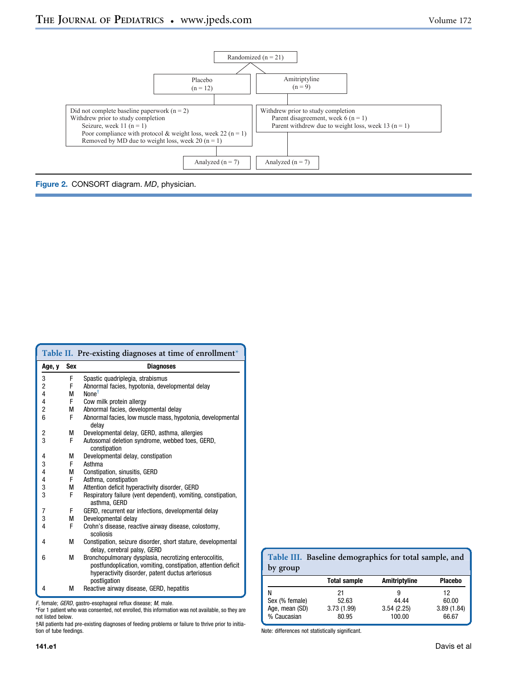<span id="page-6-0"></span>

Figure 2. CONSORT diagram. *MD*, physician.

| Table II. Pre-existing diagnoses at time of enrollment* |            |                                                                                                                                                                                             |
|---------------------------------------------------------|------------|---------------------------------------------------------------------------------------------------------------------------------------------------------------------------------------------|
| Age, y                                                  | <b>Sex</b> | <b>Diagnoses</b>                                                                                                                                                                            |
| 3                                                       | F          | Spastic quadriplegia, strabismus                                                                                                                                                            |
| 2                                                       | F          | Abnormal facies, hypotonia, developmental delay                                                                                                                                             |
| 4                                                       | М          | None <sup>†</sup>                                                                                                                                                                           |
| 4                                                       | F          | Cow milk protein allergy                                                                                                                                                                    |
| 2                                                       | М          | Abnormal facies, developmental delay                                                                                                                                                        |
| 6                                                       | F          | Abnormal facies, low muscle mass, hypotonia, developmental<br>delav                                                                                                                         |
| 2                                                       | М          | Developmental delay, GERD, asthma, allergies                                                                                                                                                |
| 3                                                       | F          | Autosomal deletion syndrome, webbed toes, GERD,<br>constipation                                                                                                                             |
| 4                                                       | М          | Developmental delay, constipation                                                                                                                                                           |
| 3                                                       | F          | Asthma                                                                                                                                                                                      |
| 4                                                       | М          | Constipation, sinusitis, GERD                                                                                                                                                               |
| 4                                                       | F          | Asthma, constipation                                                                                                                                                                        |
| 3                                                       | М          | Attention deficit hyperactivity disorder, GERD                                                                                                                                              |
| 3                                                       | F          | Respiratory failure (vent dependent), vomiting, constipation,<br>asthma, GERD                                                                                                               |
| 7                                                       | F          | GERD, recurrent ear infections, developmental delay                                                                                                                                         |
| 3                                                       | М          | Developmental delay                                                                                                                                                                         |
| 4                                                       | F          | Crohn's disease, reactive airway disease, colostomy,<br>scoliosis                                                                                                                           |
| 4                                                       | М          | Constipation, seizure disorder, short stature, developmental<br>delay, cerebral palsy, GERD                                                                                                 |
| 6                                                       | М          | Bronchopulmonary dysplasia, necrotizing enterocolitis,<br>postfundoplication, vomiting, constipation, attention deficit<br>hyperactivity disorder, patent ductus arteriosus<br>postligation |
| 4                                                       | М          | Reactive airway disease, GERD, hepatitis                                                                                                                                                    |

F, female; GERD, gastro-esophageal reflux disease; M, male.

\*For 1 patient who was consented, not enrolled, this information was not available, so they are not listed below.

†All patients had pre-existing diagnoses of feeding problems or failure to thrive prior to initiation of tube feedings.

|          | Table III. Baseline demographics for total sample, and |
|----------|--------------------------------------------------------|
| by group |                                                        |

|                | <b>Total sample</b> | <b>Amitriptyline</b> | <b>Placebo</b> |
|----------------|---------------------|----------------------|----------------|
| Ν              | 21                  | 9                    | 12             |
| Sex (% female) | 52.63               | 44.44                | 60.00          |
| Age, mean (SD) | 3.73(1.99)          | 3.54(2.25)           | 3.89(1.84)     |
| % Caucasian    | 80.95               | 100.00               | 66.67          |

Note: differences not statistically significant.